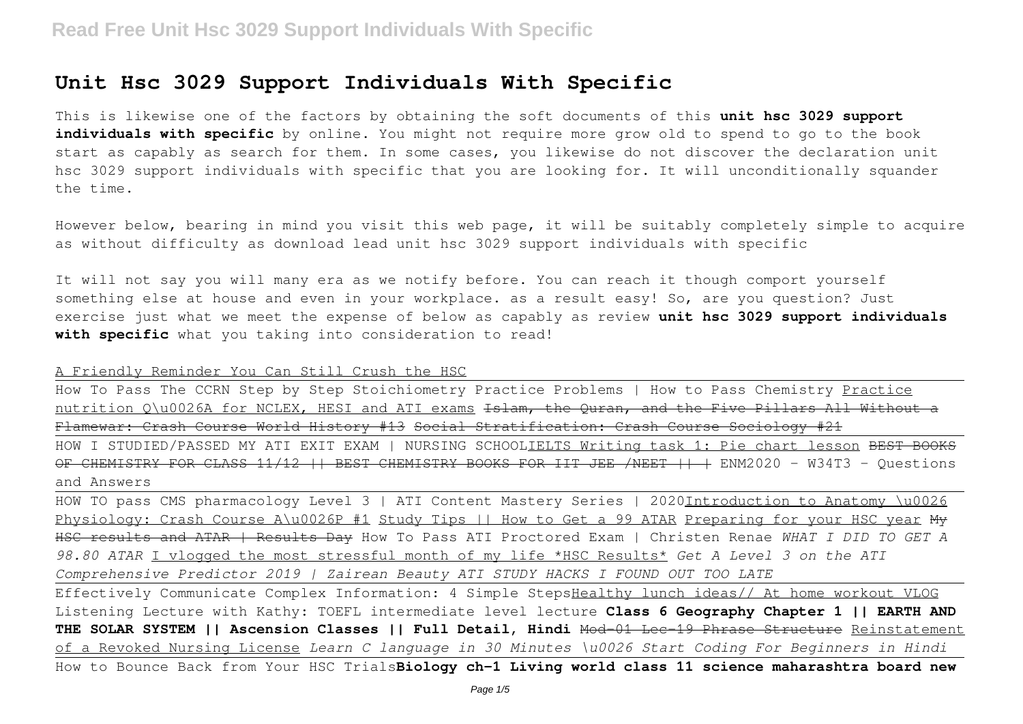# **Unit Hsc 3029 Support Individuals With Specific**

This is likewise one of the factors by obtaining the soft documents of this **unit hsc 3029 support** individuals with specific by online. You might not require more grow old to spend to go to the book start as capably as search for them. In some cases, you likewise do not discover the declaration unit hsc 3029 support individuals with specific that you are looking for. It will unconditionally squander the time.

However below, bearing in mind you visit this web page, it will be suitably completely simple to acquire as without difficulty as download lead unit hsc 3029 support individuals with specific

It will not say you will many era as we notify before. You can reach it though comport yourself something else at house and even in your workplace. as a result easy! So, are you question? Just exercise just what we meet the expense of below as capably as review **unit hsc 3029 support individuals with specific** what you taking into consideration to read!

A Friendly Reminder You Can Still Crush the HSC

How To Pass The CCRN Step by Step Stoichiometry Practice Problems | How to Pass Chemistry Practice nutrition Q\u0026A for NCLEX, HESI and ATI exams Islam, the Quran, and the Five Pillars All Without a Flamewar: Crash Course World History #13 Social Stratification: Crash Course Sociology #21

HOW I STUDIED/PASSED MY ATI EXIT EXAM | NURSING SCHOOLIELTS Writing task 1: Pie chart lesson <del>BEST BOOKS</del> OF CHEMISTRY FOR CLASS 11/12 || BEST CHEMISTRY BOOKS FOR IIT JEE /NEET || | ENM2020 - W34T3 - Questions and Answers

HOW TO pass CMS pharmacology Level 3 | ATI Content Mastery Series | 2020Introduction to Anatomy \u0026 Physiology: Crash Course A\u0026P #1 Study Tips || How to Get a 99 ATAR Preparing for your HSC year My HSC results and ATAR | Results Day How To Pass ATI Proctored Exam | Christen Renae *WHAT I DID TO GET A 98.80 ATAR* I vlogged the most stressful month of my life \*HSC Results\* *Get A Level 3 on the ATI Comprehensive Predictor 2019 | Zairean Beauty ATI STUDY HACKS I FOUND OUT TOO LATE*

Effectively Communicate Complex Information: 4 Simple StepsHealthy lunch ideas// At home workout VLOG Listening Lecture with Kathy: TOEFL intermediate level lecture **Class 6 Geography Chapter 1 || EARTH AND THE SOLAR SYSTEM || Ascension Classes || Full Detail, Hindi** Mod-01 Lec-19 Phrase Structure Reinstatement of a Revoked Nursing License *Learn C language in 30 Minutes \u0026 Start Coding For Beginners in Hindi* How to Bounce Back from Your HSC Trials**Biology ch-1 Living world class 11 science maharashtra board new**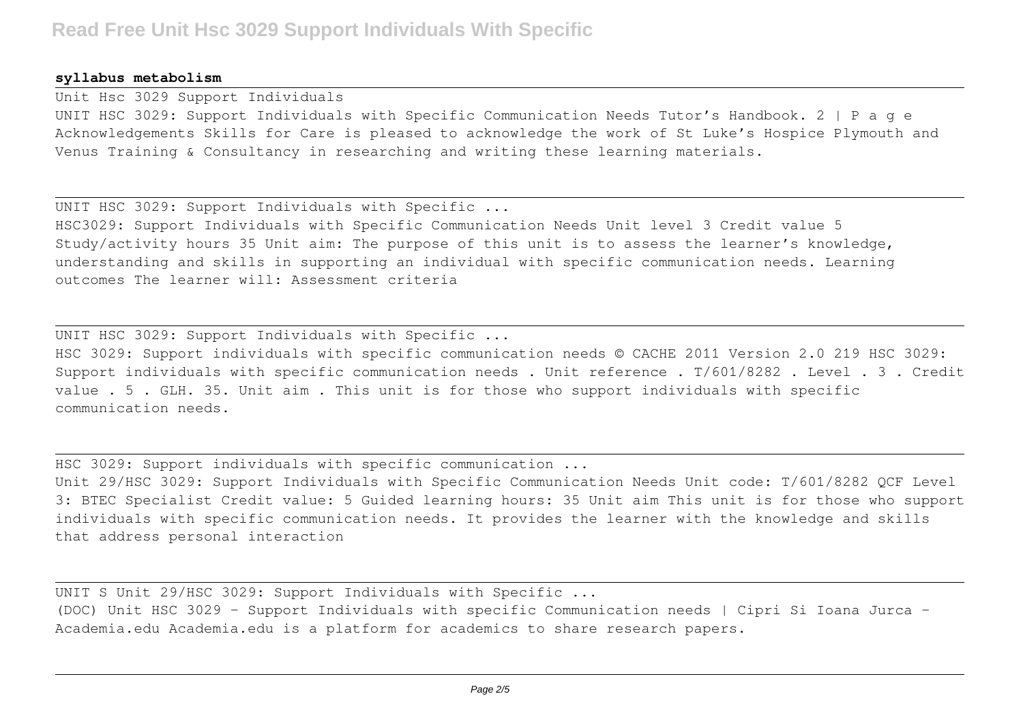#### **syllabus metabolism**

Unit Hsc 3029 Support Individuals

UNIT HSC 3029: Support Individuals with Specific Communication Needs Tutor's Handbook. 2 | P a g e Acknowledgements Skills for Care is pleased to acknowledge the work of St Luke's Hospice Plymouth and Venus Training & Consultancy in researching and writing these learning materials.

UNIT HSC 3029: Support Individuals with Specific ...

HSC3029: Support Individuals with Specific Communication Needs Unit level 3 Credit value 5 Study/activity hours 35 Unit aim: The purpose of this unit is to assess the learner's knowledge, understanding and skills in supporting an individual with specific communication needs. Learning outcomes The learner will: Assessment criteria

UNIT HSC 3029: Support Individuals with Specific ...

HSC 3029: Support individuals with specific communication needs © CACHE 2011 Version 2.0 219 HSC 3029: Support individuals with specific communication needs. Unit reference. T/601/8282. Level. 3. Credit value . 5 . GLH. 35. Unit aim . This unit is for those who support individuals with specific communication needs.

HSC 3029: Support individuals with specific communication ...

Unit 29/HSC 3029: Support Individuals with Specific Communication Needs Unit code: T/601/8282 QCF Level 3: BTEC Specialist Credit value: 5 Guided learning hours: 35 Unit aim This unit is for those who support individuals with specific communication needs. It provides the learner with the knowledge and skills that address personal interaction

UNIT S Unit 29/HSC 3029: Support Individuals with Specific ...

(DOC) Unit HSC 3029 – Support Individuals with specific Communication needs | Cipri Si Ioana Jurca - Academia.edu Academia.edu is a platform for academics to share research papers.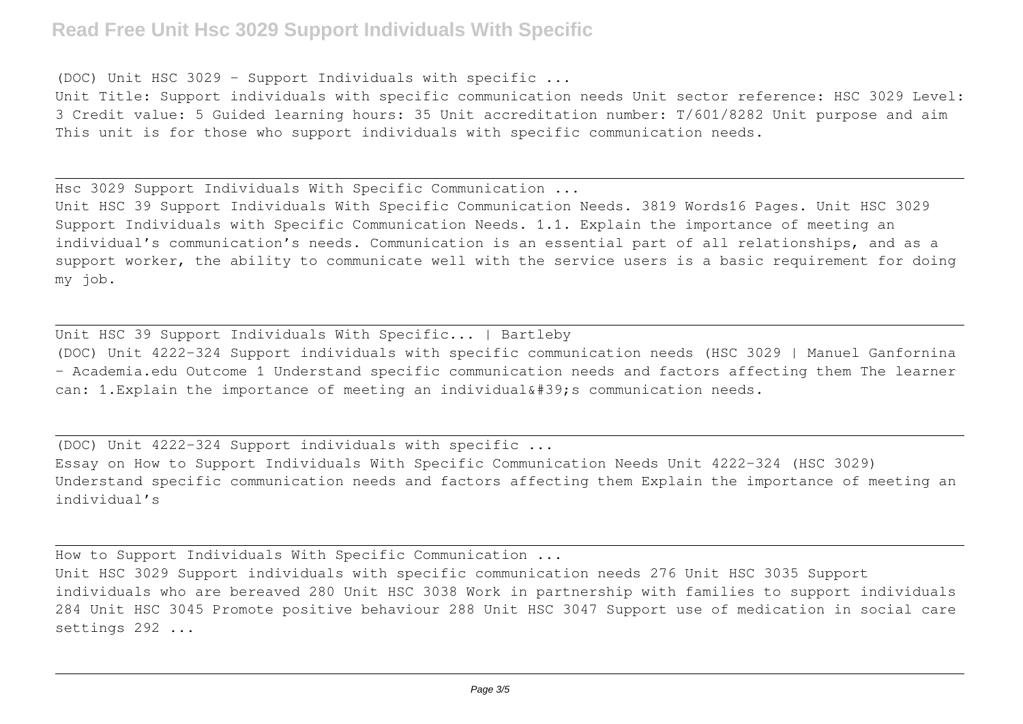# **Read Free Unit Hsc 3029 Support Individuals With Specific**

(DOC) Unit HSC 3029 – Support Individuals with specific ...

Unit Title: Support individuals with specific communication needs Unit sector reference: HSC 3029 Level: 3 Credit value: 5 Guided learning hours: 35 Unit accreditation number: T/601/8282 Unit purpose and aim This unit is for those who support individuals with specific communication needs.

Hsc 3029 Support Individuals With Specific Communication ...

Unit HSC 39 Support Individuals With Specific Communication Needs. 3819 Words16 Pages. Unit HSC 3029 Support Individuals with Specific Communication Needs. 1.1. Explain the importance of meeting an individual's communication's needs. Communication is an essential part of all relationships, and as a support worker, the ability to communicate well with the service users is a basic requirement for doing my job.

Unit HSC 39 Support Individuals With Specific... | Bartleby (DOC) Unit 4222-324 Support individuals with specific communication needs (HSC 3029 | Manuel Ganfornina - Academia.edu Outcome 1 Understand specific communication needs and factors affecting them The learner can: 1. Explain the importance of meeting an individual' s communication needs.

(DOC) Unit 4222-324 Support individuals with specific ... Essay on How to Support Individuals With Specific Communication Needs Unit 4222-324 (HSC 3029) Understand specific communication needs and factors affecting them Explain the importance of meeting an individual's

How to Support Individuals With Specific Communication ...

Unit HSC 3029 Support individuals with specific communication needs 276 Unit HSC 3035 Support individuals who are bereaved 280 Unit HSC 3038 Work in partnership with families to support individuals 284 Unit HSC 3045 Promote positive behaviour 288 Unit HSC 3047 Support use of medication in social care settings 292 ...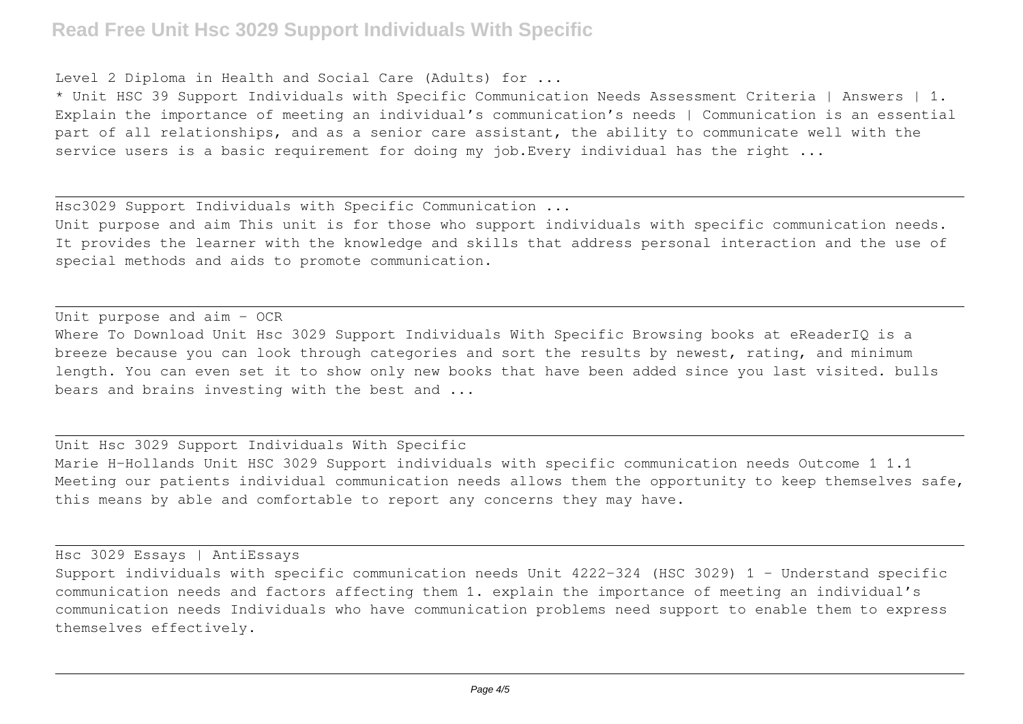# **Read Free Unit Hsc 3029 Support Individuals With Specific**

Level 2 Diploma in Health and Social Care (Adults) for ...

\* Unit HSC 39 Support Individuals with Specific Communication Needs Assessment Criteria | Answers | 1. Explain the importance of meeting an individual's communication's needs | Communication is an essential part of all relationships, and as a senior care assistant, the ability to communicate well with the service users is a basic requirement for doing my job. Every individual has the right ...

Hsc3029 Support Individuals with Specific Communication ...

Unit purpose and aim This unit is for those who support individuals with specific communication needs. It provides the learner with the knowledge and skills that address personal interaction and the use of special methods and aids to promote communication.

Unit purpose and aim - OCR Where To Download Unit Hsc 3029 Support Individuals With Specific Browsing books at eReaderIQ is a breeze because you can look through categories and sort the results by newest, rating, and minimum length. You can even set it to show only new books that have been added since you last visited. bulls bears and brains investing with the best and ...

Unit Hsc 3029 Support Individuals With Specific Marie H-Hollands Unit HSC 3029 Support individuals with specific communication needs Outcome 1 1.1 Meeting our patients individual communication needs allows them the opportunity to keep themselves safe, this means by able and comfortable to report any concerns they may have.

Hsc 3029 Essays | AntiEssays

Support individuals with specific communication needs Unit 4222-324 (HSC 3029) 1 - Understand specific communication needs and factors affecting them 1. explain the importance of meeting an individual's communication needs Individuals who have communication problems need support to enable them to express themselves effectively.